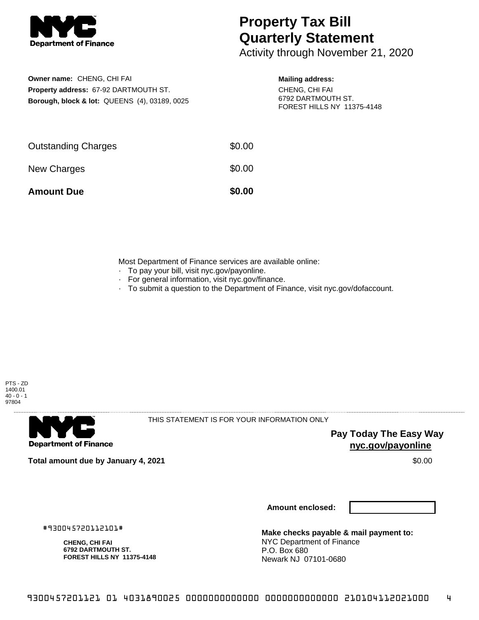

## **Property Tax Bill Quarterly Statement**

Activity through November 21, 2020

**Owner name:** CHENG, CHI FAI **Property address:** 67-92 DARTMOUTH ST. **Borough, block & lot:** QUEENS (4), 03189, 0025

## **Mailing address:**

CHENG, CHI FAI 6792 DARTMOUTH ST. FOREST HILLS NY 11375-4148

| <b>Amount Due</b>          | \$0.00 |
|----------------------------|--------|
| New Charges                | \$0.00 |
| <b>Outstanding Charges</b> | \$0.00 |

Most Department of Finance services are available online:

- · To pay your bill, visit nyc.gov/payonline.
- For general information, visit nyc.gov/finance.
- · To submit a question to the Department of Finance, visit nyc.gov/dofaccount.





THIS STATEMENT IS FOR YOUR INFORMATION ONLY

**Pay Today The Easy Way nyc.gov/payonline**

**Total amount due by January 4, 2021** \$0.00

**Amount enclosed:**

**Make checks payable & mail payment to:** NYC Department of Finance P.O. Box 680 Newark NJ 07101-0680

#930045720112101#

**CHENG, CHI FAI 6792 DARTMOUTH ST. FOREST HILLS NY 11375-4148**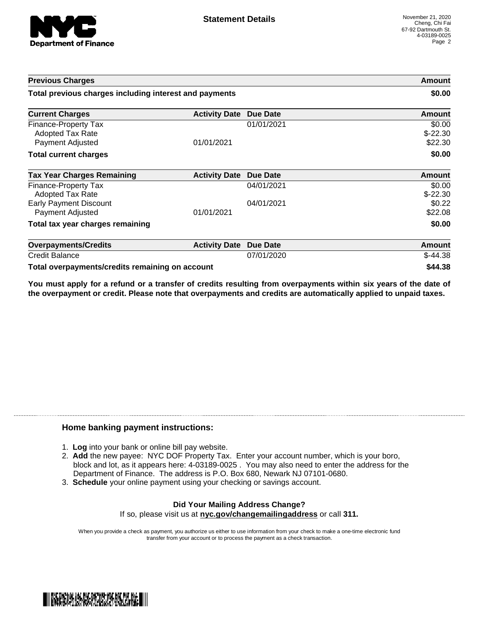

| <b>Previous Charges</b>                                             |                      | Amount<br>\$0.00 |                                |
|---------------------------------------------------------------------|----------------------|------------------|--------------------------------|
| Total previous charges including interest and payments              |                      |                  |                                |
| <b>Current Charges</b>                                              | <b>Activity Date</b> | Due Date         | Amount                         |
| Finance-Property Tax<br><b>Adopted Tax Rate</b><br>Payment Adjusted | 01/01/2021           | 01/01/2021       | \$0.00<br>$$-22.30$<br>\$22.30 |
| <b>Total current charges</b>                                        |                      |                  | \$0.00                         |
| <b>Tax Year Charges Remaining</b>                                   | <b>Activity Date</b> | Due Date         | Amount                         |
| <b>Finance-Property Tax</b><br>Adopted Tax Rate                     |                      | 04/01/2021       | \$0.00<br>$$-22.30$            |
| <b>Early Payment Discount</b><br>Payment Adjusted                   | 01/01/2021           | 04/01/2021       | \$0.22<br>\$22.08              |
| Total tax year charges remaining                                    |                      |                  | \$0.00                         |
| <b>Overpayments/Credits</b>                                         | <b>Activity Date</b> | <b>Due Date</b>  | Amount                         |
| <b>Credit Balance</b>                                               |                      | 07/01/2020       | $$-44.38$                      |
| Total overpayments/credits remaining on account                     |                      |                  | \$44.38                        |

You must apply for a refund or a transfer of credits resulting from overpayments within six years of the date of **the overpayment or credit. Please note that overpayments and credits are automatically applied to unpaid taxes.**

## **Home banking payment instructions:**

- 1. **Log** into your bank or online bill pay website.
- 2. **Add** the new payee: NYC DOF Property Tax. Enter your account number, which is your boro, block and lot, as it appears here: 4-03189-0025 . You may also need to enter the address for the Department of Finance. The address is P.O. Box 680, Newark NJ 07101-0680.
- 3. **Schedule** your online payment using your checking or savings account.

## **Did Your Mailing Address Change?** If so, please visit us at **nyc.gov/changemailingaddress** or call **311.**

When you provide a check as payment, you authorize us either to use information from your check to make a one-time electronic fund transfer from your account or to process the payment as a check transaction.